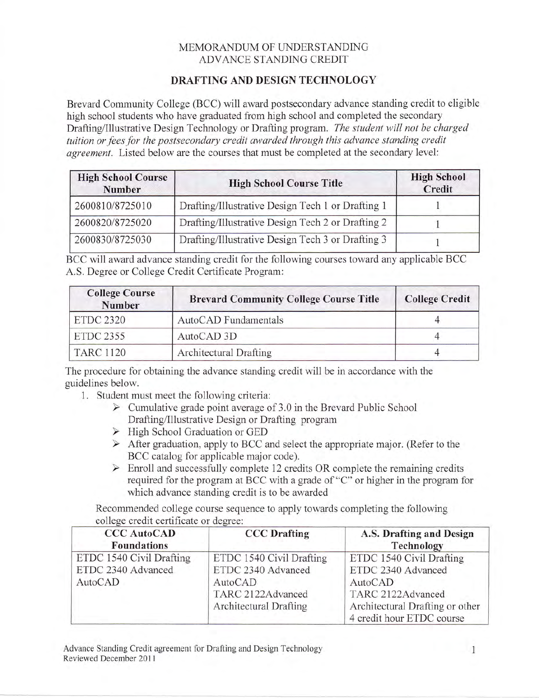## MEMORANDUM OF UNDERSTANDING ADVANCE STANDING CREDIT

## DRAFTING AND DESIGN TECHNOLOGY

Brevard Community College (BCC) will award postsecondary advance standing credit to eligible high school students who have graduated from high school and completed the secondary Drafting/Illustrative Design Technology or Drafting program. The student will not be charged tuition or fees for the postsecondary credit awarded through this advance standing credit agreement. Listed below are the courses that must be completed at the secondary level:

| <b>High School Course</b><br><b>Number</b> | <b>High School Course Title</b>                   |  |
|--------------------------------------------|---------------------------------------------------|--|
| 2600810/8725010                            | Drafting/Illustrative Design Tech 1 or Drafting 1 |  |
| 2600820/8725020                            | Drafting/Illustrative Design Tech 2 or Drafting 2 |  |
| 2600830/8725030                            | Drafting/Illustrative Design Tech 3 or Drafting 3 |  |

BCC will award advance standing credit for the following courses toward any applicable BCC A.S. Degree or College Credit Certificate Program:

| <b>College Course</b><br><b>Number</b> | <b>Brevard Community College Course Title</b> | <b>College Credit</b> |
|----------------------------------------|-----------------------------------------------|-----------------------|
| <b>ETDC 2320</b>                       | AutoCAD Fundamentals                          |                       |
| <b>ETDC 2355</b>                       | AutoCAD 3D                                    |                       |
| <b>TARC 1120</b>                       | Architectural Drafting                        |                       |

The procedure for obtaining the advance standing credit will be in accordance with the guidelines below.

- 1. Student must meet the following criteria:
	- $\triangleright$  Cumulative grade point average of 3.0 in the Brevard Public School Drafting/Illustrative Design or Drafting program
	- $\triangleright$  High School Graduation or GED
	- $\triangleright$  After graduation, apply to BCC and select the appropriate major. (Refer to the BCC catalog for applicable major code).
	- $\triangleright$  Enroll and successfully complete 12 credits OR complete the remaining credits required for the program at BCC with a grade of "C" or higher in the program for which advance standing credit is to be awarded

Recommended college course sequence to apply towards completing the following college credit certificate or degree:

| <b>CCC AutoCAD</b><br><b>Foundations</b>       | <b>CCC</b> Drafting                            | A.S. Drafting and Design<br>Technology                       |
|------------------------------------------------|------------------------------------------------|--------------------------------------------------------------|
| ETDC 1540 Civil Drafting<br>ETDC 2340 Advanced | ETDC 1540 Civil Drafting<br>ETDC 2340 Advanced | ETDC 1540 Civil Drafting<br>ETDC 2340 Advanced               |
| AutoCAD                                        | AutoCAD<br>TARC 2122Advanced                   | AutoCAD<br>TARC 2122Advanced                                 |
|                                                | Architectural Drafting                         | Architectural Drafting or other<br>4 credit hour ETDC course |